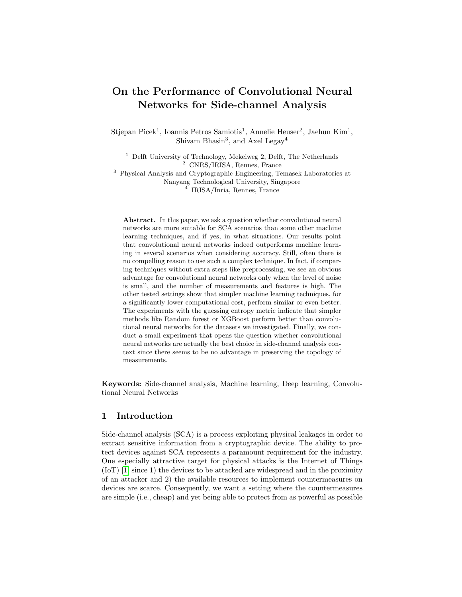# On the Performance of Convolutional Neural Networks for Side-channel Analysis

Stjepan Picek<sup>1</sup>, Ioannis Petros Samiotis<sup>1</sup>, Annelie Heuser<sup>2</sup>, Jaehun Kim<sup>1</sup>, Shivam Bhasin<sup>3</sup>, and Axel Legay<sup>4</sup>

 $^{\rm 1}$  Delft University of Technology, Mekelweg 2, Delft, The Netherlands <sup>2</sup> CNRS/IRISA, Rennes, France

<sup>3</sup> Physical Analysis and Cryptographic Engineering, Temasek Laboratories at Nanyang Technological University, Singapore

4 IRISA/Inria, Rennes, France

Abstract. In this paper, we ask a question whether convolutional neural networks are more suitable for SCA scenarios than some other machine learning techniques, and if yes, in what situations. Our results point that convolutional neural networks indeed outperforms machine learning in several scenarios when considering accuracy. Still, often there is no compelling reason to use such a complex technique. In fact, if comparing techniques without extra steps like preprocessing, we see an obvious advantage for convolutional neural networks only when the level of noise is small, and the number of measurements and features is high. The other tested settings show that simpler machine learning techniques, for a significantly lower computational cost, perform similar or even better. The experiments with the guessing entropy metric indicate that simpler methods like Random forest or XGBoost perform better than convolutional neural networks for the datasets we investigated. Finally, we conduct a small experiment that opens the question whether convolutional neural networks are actually the best choice in side-channel analysis context since there seems to be no advantage in preserving the topology of measurements.

Keywords: Side-channel analysis, Machine learning, Deep learning, Convolutional Neural Networks

## <span id="page-0-0"></span>1 Introduction

Side-channel analysis (SCA) is a process exploiting physical leakages in order to extract sensitive information from a cryptographic device. The ability to protect devices against SCA represents a paramount requirement for the industry. One especially attractive target for physical attacks is the Internet of Things (IoT) [\[1\]](#page-15-0) since 1) the devices to be attacked are widespread and in the proximity of an attacker and 2) the available resources to implement countermeasures on devices are scarce. Consequently, we want a setting where the countermeasures are simple (i.e., cheap) and yet being able to protect from as powerful as possible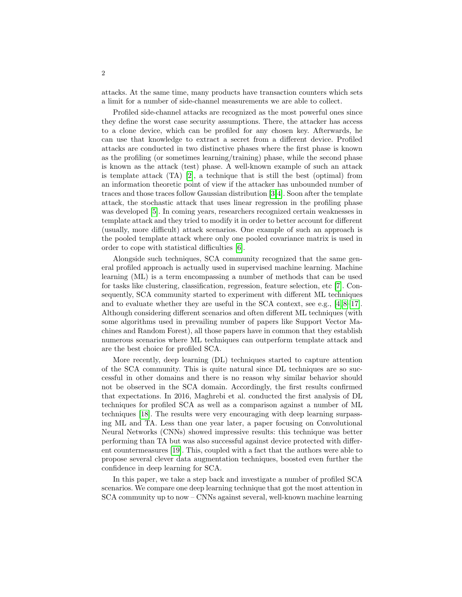attacks. At the same time, many products have transaction counters which sets a limit for a number of side-channel measurements we are able to collect.

Profiled side-channel attacks are recognized as the most powerful ones since they define the worst case security assumptions. There, the attacker has access to a clone device, which can be profiled for any chosen key. Afterwards, he can use that knowledge to extract a secret from a different device. Profiled attacks are conducted in two distinctive phases where the first phase is known as the profiling (or sometimes learning/training) phase, while the second phase is known as the attack (test) phase. A well-known example of such an attack is template attack  $(TA)$  [\[2\]](#page-15-1), a technique that is still the best (optimal) from an information theoretic point of view if the attacker has unbounded number of traces and those traces follow Gaussian distribution [\[3,](#page-15-2)[4\]](#page-15-3). Soon after the template attack, the stochastic attack that uses linear regression in the profiling phase was developed [\[5\]](#page-16-0). In coming years, researchers recognized certain weaknesses in template attack and they tried to modify it in order to better account for different (usually, more difficult) attack scenarios. One example of such an approach is the pooled template attack where only one pooled covariance matrix is used in order to cope with statistical difficulties [\[6\]](#page-16-1).

Alongside such techniques, SCA community recognized that the same general profiled approach is actually used in supervised machine learning. Machine learning (ML) is a term encompassing a number of methods that can be used for tasks like clustering, classification, regression, feature selection, etc [\[7\]](#page-16-2). Consequently, SCA community started to experiment with different ML techniques and to evaluate whether they are useful in the SCA context, see e.g.,  $[4, 8-17]$  $[4, 8-17]$  $[4, 8-17]$ . Although considering different scenarios and often different ML techniques (with some algorithms used in prevailing number of papers like Support Vector Machines and Random Forest), all those papers have in common that they establish numerous scenarios where ML techniques can outperform template attack and are the best choice for profiled SCA.

More recently, deep learning (DL) techniques started to capture attention of the SCA community. This is quite natural since DL techniques are so successful in other domains and there is no reason why similar behavior should not be observed in the SCA domain. Accordingly, the first results confirmed that expectations. In 2016, Maghrebi et al. conducted the first analysis of DL techniques for profiled SCA as well as a comparison against a number of ML techniques [\[18\]](#page-16-5). The results were very encouraging with deep learning surpassing ML and TA. Less than one year later, a paper focusing on Convolutional Neural Networks (CNNs) showed impressive results: this technique was better performing than TA but was also successful against device protected with different countermeasures [\[19\]](#page-16-6). This, coupled with a fact that the authors were able to propose several clever data augmentation techniques, boosted even further the confidence in deep learning for SCA.

In this paper, we take a step back and investigate a number of profiled SCA scenarios. We compare one deep learning technique that got the most attention in SCA community up to now – CNNs against several, well-known machine learning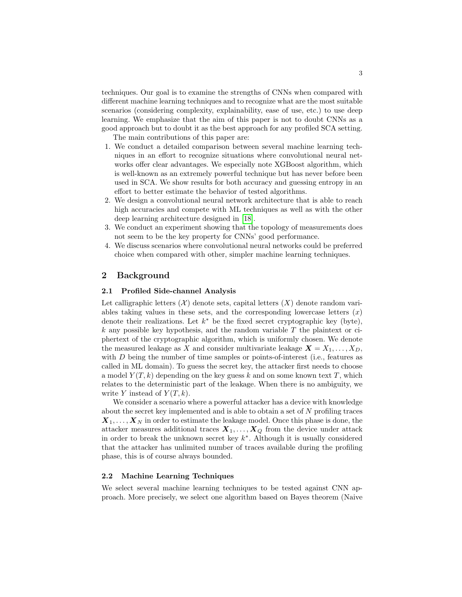techniques. Our goal is to examine the strengths of CNNs when compared with different machine learning techniques and to recognize what are the most suitable scenarios (considering complexity, explainability, ease of use, etc.) to use deep learning. We emphasize that the aim of this paper is not to doubt CNNs as a good approach but to doubt it as the best approach for any profiled SCA setting. The main contributions of this paper are:

- 1. We conduct a detailed comparison between several machine learning techniques in an effort to recognize situations where convolutional neural networks offer clear advantages. We especially note XGBoost algorithm, which is well-known as an extremely powerful technique but has never before been used in SCA. We show results for both accuracy and guessing entropy in an effort to better estimate the behavior of tested algorithms.
- 2. We design a convolutional neural network architecture that is able to reach high accuracies and compete with ML techniques as well as with the other deep learning architecture designed in [\[18\]](#page-16-5).
- 3. We conduct an experiment showing that the topology of measurements does not seem to be the key property for CNNs' good performance.
- 4. We discuss scenarios where convolutional neural networks could be preferred choice when compared with other, simpler machine learning techniques.

## 2 Background

### 2.1 Profiled Side-channel Analysis

Let calligraphic letters  $(X)$  denote sets, capital letters  $(X)$  denote random variables taking values in these sets, and the corresponding lowercase letters  $(x)$ denote their realizations. Let  $k^*$  be the fixed secret cryptographic key (byte),  $k$  any possible key hypothesis, and the random variable T the plaintext or ciphertext of the cryptographic algorithm, which is uniformly chosen. We denote the measured leakage as X and consider multivariate leakage  $X = X_1, \ldots, X_D$ , with  $D$  being the number of time samples or points-of-interest (i.e., features as called in ML domain). To guess the secret key, the attacker first needs to choose a model  $Y(T, k)$  depending on the key guess k and on some known text T, which relates to the deterministic part of the leakage. When there is no ambiguity, we write Y instead of  $Y(T, k)$ .

We consider a scenario where a powerful attacker has a device with knowledge about the secret key implemented and is able to obtain a set of N profiling traces  $X_1, \ldots, X_N$  in order to estimate the leakage model. Once this phase is done, the attacker measures additional traces  $X_1, \ldots, X_Q$  from the device under attack in order to break the unknown secret key  $k^*$ . Although it is usually considered that the attacker has unlimited number of traces available during the profiling phase, this is of course always bounded.

### 2.2 Machine Learning Techniques

We select several machine learning techniques to be tested against CNN approach. More precisely, we select one algorithm based on Bayes theorem (Naive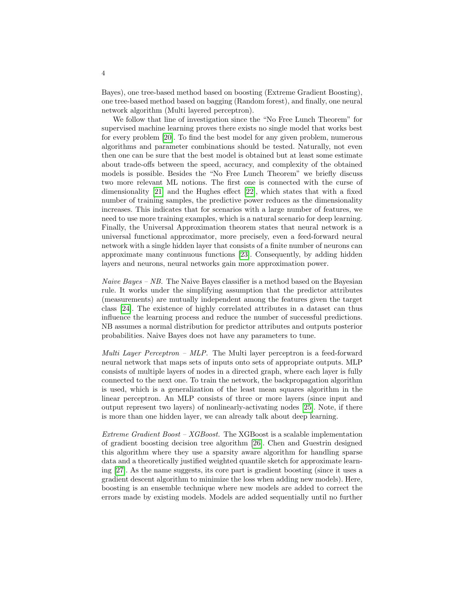Bayes), one tree-based method based on boosting (Extreme Gradient Boosting), one tree-based method based on bagging (Random forest), and finally, one neural network algorithm (Multi layered perceptron).

We follow that line of investigation since the "No Free Lunch Theorem" for supervised machine learning proves there exists no single model that works best for every problem [\[20\]](#page-16-7). To find the best model for any given problem, numerous algorithms and parameter combinations should be tested. Naturally, not even then one can be sure that the best model is obtained but at least some estimate about trade-offs between the speed, accuracy, and complexity of the obtained models is possible. Besides the "No Free Lunch Theorem" we briefly discuss two more relevant ML notions. The first one is connected with the curse of dimensionality [\[21\]](#page-16-8) and the Hughes effect [\[22\]](#page-17-0), which states that with a fixed number of training samples, the predictive power reduces as the dimensionality increases. This indicates that for scenarios with a large number of features, we need to use more training examples, which is a natural scenario for deep learning. Finally, the Universal Approximation theorem states that neural network is a universal functional approximator, more precisely, even a feed-forward neural network with a single hidden layer that consists of a finite number of neurons can approximate many continuous functions [\[23\]](#page-17-1). Consequently, by adding hidden layers and neurons, neural networks gain more approximation power.

*Naive Bayes – NB.* The Naive Bayes classifier is a method based on the Bayesian rule. It works under the simplifying assumption that the predictor attributes (measurements) are mutually independent among the features given the target class [\[24\]](#page-17-2). The existence of highly correlated attributes in a dataset can thus influence the learning process and reduce the number of successful predictions. NB assumes a normal distribution for predictor attributes and outputs posterior probabilities. Naive Bayes does not have any parameters to tune.

Multi Layer Perceptron – MLP. The Multi layer perceptron is a feed-forward neural network that maps sets of inputs onto sets of appropriate outputs. MLP consists of multiple layers of nodes in a directed graph, where each layer is fully connected to the next one. To train the network, the backpropagation algorithm is used, which is a generalization of the least mean squares algorithm in the linear perceptron. An MLP consists of three or more layers (since input and output represent two layers) of nonlinearly-activating nodes [\[25\]](#page-17-3). Note, if there is more than one hidden layer, we can already talk about deep learning.

Extreme Gradient Boost –  $XGB$ oost. The XGBoost is a scalable implementation of gradient boosting decision tree algorithm [\[26\]](#page-17-4). Chen and Guestrin designed this algorithm where they use a sparsity aware algorithm for handling sparse data and a theoretically justified weighted quantile sketch for approximate learning [\[27\]](#page-17-5). As the name suggests, its core part is gradient boosting (since it uses a gradient descent algorithm to minimize the loss when adding new models). Here, boosting is an ensemble technique where new models are added to correct the errors made by existing models. Models are added sequentially until no further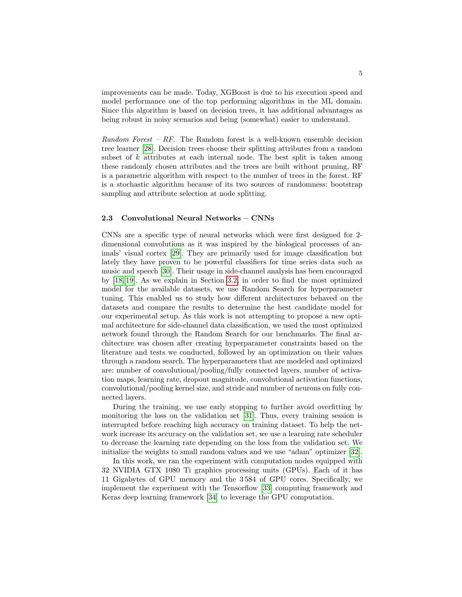improvements can be made. Today, XGBoost is due to his execution speed and model performance one of the top performing algorithms in the ML domain. Since this algorithm is based on decision trees, it has additional advantages as being robust in noisy scenarios and being (somewhat) easier to understand.

Random Forest –  $RF$ . The Random forest is a well-known ensemble decision tree learner [\[28\]](#page-17-6). Decision trees choose their splitting attributes from a random subset of  $k$  attributes at each internal node. The best split is taken among these randomly chosen attributes and the trees are built without pruning, RF is a parametric algorithm with respect to the number of trees in the forest. RF is a stochastic algorithm because of its two sources of randomness: bootstrap sampling and attribute selection at node splitting.

#### 2.3 Convolutional Neural Networks – CNNs

CNNs are a specific type of neural networks which were first designed for 2 dimensional convolutions as it was inspired by the biological processes of animals' visual cortex [\[29\]](#page-17-7). They are primarily used for image classification but lately they have proven to be powerful classifiers for time series data such as music and speech [\[30\]](#page-17-8). Their usage in side-channel analysis has been encouraged by [\[18,](#page-16-5) [19\]](#page-16-6). As we explain in Section [3.2,](#page-6-0) in order to find the most optimized model for the available datasets, we use Random Search for hyperparameter tuning. This enabled us to study how different architectures behaved on the datasets and compare the results to determine the best candidate model for our experimental setup. As this work is not attempting to propose a new optimal architecture for side-channel data classification, we used the most optimized network found through the Random Search for our benchmarks. The final architecture was chosen after creating hyperparameter constraints based on the literature and tests we conducted, followed by an optimization on their values through a random search. The hyperparameters that are modeled and optimized are: number of convolutional/pooling/fully connected layers, number of activation maps, learning rate, dropout magnitude, convolutional activation functions, convolutional/pooling kernel size, and stride and number of neurons on fully connected layers.

During the training, we use early stopping to further avoid overfitting by monitoring the loss on the validation set [\[31\]](#page-17-9). Thus, every training session is interrupted before reaching high accuracy on training dataset. To help the network increase its accuracy on the validation set, we use a learning rate scheduler to decrease the learning rate depending on the loss from the validation set. We initialize the weights to small random values and we use "adam" optimizer [\[32\]](#page-17-10).

In this work, we ran the experiment with computation nodes equipped with 32 NVIDIA GTX 1080 Ti graphics processing units (GPUs). Each of it has 11 Gigabytes of GPU memory and the 3 584 of GPU cores. Specifically, we implement the experiment with the Tensorflow [\[33\]](#page-17-11) computing framework and Keras deep learning framework [\[34\]](#page-17-12) to leverage the GPU computation.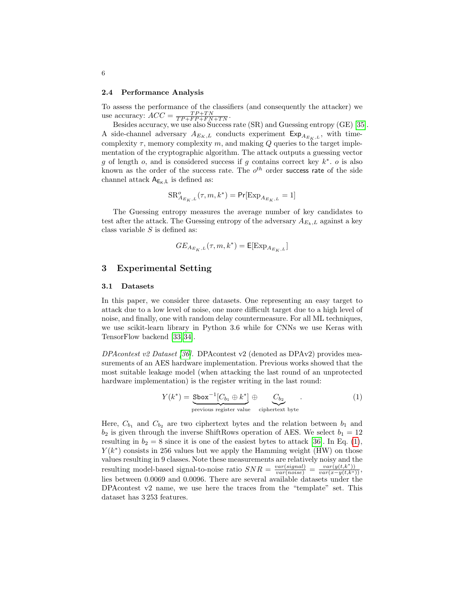#### 2.4 Performance Analysis

To assess the performance of the classifiers (and consequently the attacker) we use accuracy:  $ACC = \frac{TP+TN}{TP+FP+FN+TN}$ .

Besides accuracy, we use also Success rate (SR) and Guessing entropy (GE) [\[35\]](#page-17-13). A side-channel adversary  $A_{E_K,L}$  conducts experiment  $\mathsf{Exp}_{A_{E_K,L}}$ , with timecomplexity  $\tau$ , memory complexity m, and making Q queries to the target implementation of the cryptographic algorithm. The attack outputs a guessing vector g of length  $o$ , and is considered success if g contains correct key  $k^*$ . o is also known as the order of the success rate. The  $o^{th}$  order success rate of the side channel attack  $A_{E_K,L}$  is defined as:

$$
\text{SR}^o_{A_{E_K,L}}(\tau,m,k^*) = \text{Pr}[\text{Exp}_{A_{E_K,L}}=1]
$$

The Guessing entropy measures the average number of key candidates to test after the attack. The Guessing entropy of the adversary  $A_{E_k,L}$  against a key class variable  $S$  is defined as:

$$
GE_{A_{E_K,L}}(\tau,m,k^*) = \mathsf{E}[\mathrm{Exp}_{A_{E_K,L}}]
$$

## 3 Experimental Setting

#### 3.1 Datasets

In this paper, we consider three datasets. One representing an easy target to attack due to a low level of noise, one more difficult target due to a high level of noise, and finally, one with random delay countermeasure. For all ML techniques, we use scikit-learn library in Python 3.6 while for CNNs we use Keras with TensorFlow backend [\[33,](#page-17-11) [34\]](#page-17-12).

DPAcontest v2 Dataset [\[36\]](#page-17-14). DPAcontest v2 (denoted as DPAv2) provides measurements of an AES hardware implementation. Previous works showed that the most suitable leakage model (when attacking the last round of an unprotected hardware implementation) is the register writing in the last round:

<span id="page-5-0"></span>
$$
Y(k^*) = \underbrace{\text{Sbox}^{-1}[C_{b_1} \oplus k^*]}_{\text{previous register value}} \oplus \underbrace{C_{b_2}}_{\text{ciphertext byte}}.
$$
 (1)

Here,  $C_{b_1}$  and  $C_{b_2}$  are two ciphertext bytes and the relation between  $b_1$  and  $b_2$  is given through the inverse ShiftRows operation of AES. We select  $b_1 = 12$ resulting in  $b_2 = 8$  since it is one of the easiest bytes to attack [\[36\]](#page-17-14). In Eq. [\(1\)](#page-5-0),  $Y(k^*)$  consists in 256 values but we apply the Hamming weight (HW) on those values resulting in 9 classes. Note these measurements are relatively noisy and the resulting model-based signal-to-noise ratio  $SNR = \frac{var(signal)}{var(noise)} = \frac{var(y(t, k^*))}{var(x-y(t, k^*))}$ lies between 0.0069 and 0.0096. There are several available datasets under the DPAcontest v2 name, we use here the traces from the "template" set. This dataset has 3 253 features.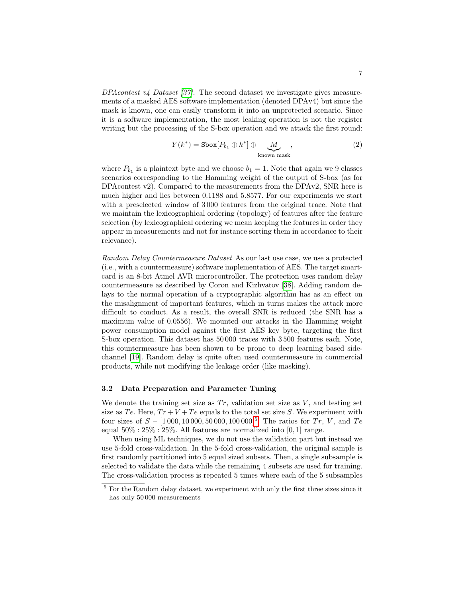DPAcontest  $\nu/4$  Dataset [\[37\]](#page-17-15). The second dataset we investigate gives measurements of a masked AES software implementation (denoted DPAv4) but since the mask is known, one can easily transform it into an unprotected scenario. Since it is a software implementation, the most leaking operation is not the register writing but the processing of the S-box operation and we attack the first round:

$$
Y(k^*) = \text{Sbox}[P_{b_1} \oplus k^*] \oplus \underbrace{M}_{\text{known mask}},
$$
\n(2)

where  $P_{b_1}$  is a plaintext byte and we choose  $b_1 = 1$ . Note that again we 9 classes scenarios corresponding to the Hamming weight of the output of S-box (as for DPAcontest v2). Compared to the measurements from the DPAv2, SNR here is much higher and lies between 0.1188 and 5.8577. For our experiments we start with a preselected window of 3 000 features from the original trace. Note that we maintain the lexicographical ordering (topology) of features after the feature selection (by lexicographical ordering we mean keeping the features in order they appear in measurements and not for instance sorting them in accordance to their relevance).

Random Delay Countermeasure Dataset As our last use case, we use a protected (i.e., with a countermeasure) software implementation of AES. The target smartcard is an 8-bit Atmel AVR microcontroller. The protection uses random delay countermeasure as described by Coron and Kizhvatov [\[38\]](#page-17-16). Adding random delays to the normal operation of a cryptographic algorithm has as an effect on the misalignment of important features, which in turns makes the attack more difficult to conduct. As a result, the overall SNR is reduced (the SNR has a maximum value of 0.0556). We mounted our attacks in the Hamming weight power consumption model against the first AES key byte, targeting the first S-box operation. This dataset has 50 000 traces with 3 500 features each. Note, this countermeasure has been shown to be prone to deep learning based sidechannel [\[19\]](#page-16-6). Random delay is quite often used countermeasure in commercial products, while not modifying the leakage order (like masking).

#### <span id="page-6-0"></span>3.2 Data Preparation and Parameter Tuning

We denote the training set size as  $Tr$ , validation set size as  $V$ , and testing set size as Te. Here,  $Tr + V + Te$  equals to the total set size S. We experiment with four sizes of  $S - [1000, 10000, 50000, 100000]$  $S - [1000, 10000, 50000, 100000]$  $S - [1000, 10000, 50000, 100000]$ <sup>5</sup>. The ratios for  $Tr, V$ , and  $Te$ equal  $50\% : 25\% : 25\%$ . All features are normalized into [0, 1] range.

When using ML techniques, we do not use the validation part but instead we use 5-fold cross-validation. In the 5-fold cross-validation, the original sample is first randomly partitioned into 5 equal sized subsets. Then, a single subsample is selected to validate the data while the remaining 4 subsets are used for training. The cross-validation process is repeated 5 times where each of the 5 subsamples

<span id="page-6-1"></span> $5$  For the Random delay dataset, we experiment with only the first three sizes since it has only 50 000 measurements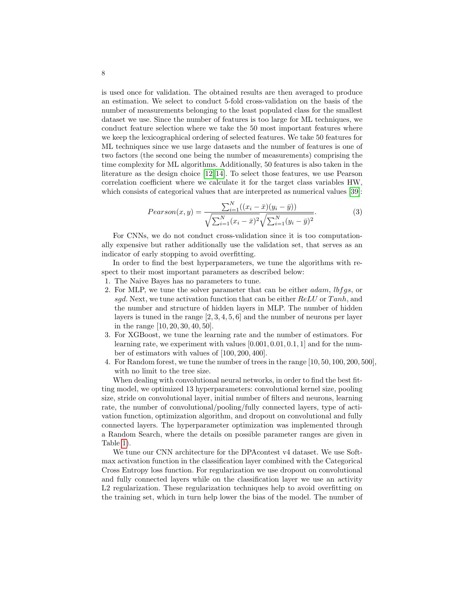is used once for validation. The obtained results are then averaged to produce an estimation. We select to conduct 5-fold cross-validation on the basis of the number of measurements belonging to the least populated class for the smallest dataset we use. Since the number of features is too large for ML techniques, we conduct feature selection where we take the 50 most important features where we keep the lexicographical ordering of selected features. We take 50 features for ML techniques since we use large datasets and the number of features is one of two factors (the second one being the number of measurements) comprising the time complexity for ML algorithms. Additionally, 50 features is also taken in the literature as the design choice [\[12,](#page-16-9) [14\]](#page-16-10). To select those features, we use Pearson correlation coefficient where we calculate it for the target class variables HW, which consists of categorical values that are interpreted as numerical values [\[39\]](#page-17-17):

$$
Pearson(x, y) = \frac{\sum_{i=1}^{N} ((x_i - \bar{x})(y_i - \bar{y}))}{\sqrt{\sum_{i=1}^{N} (x_i - \bar{x})^2} \sqrt{\sum_{i=1}^{N} (y_i - \bar{y})^2}}.
$$
(3)

For CNNs, we do not conduct cross-validation since it is too computationally expensive but rather additionally use the validation set, that serves as an indicator of early stopping to avoid overfitting.

In order to find the best hyperparameters, we tune the algorithms with respect to their most important parameters as described below:

- 1. The Naive Bayes has no parameters to tune.
- 2. For MLP, we tune the solver parameter that can be either *adam*, *lbfgs*, or sgd. Next, we tune activation function that can be either  $ReLU$  or  $Tanh$ , and the number and structure of hidden layers in MLP. The number of hidden layers is tuned in the range [2, 3, 4, 5, 6] and the number of neurons per layer in the range [10, 20, 30, 40, 50].
- 3. For XGBoost, we tune the learning rate and the number of estimators. For learning rate, we experiment with values [0.001, 0.01, 0.1, 1] and for the number of estimators with values of [100, 200, 400].
- 4. For Random forest, we tune the number of trees in the range [10, 50, 100, 200, 500], with no limit to the tree size.

When dealing with convolutional neural networks, in order to find the best fitting model, we optimized 13 hyperparameters: convolutional kernel size, pooling size, stride on convolutional layer, initial number of filters and neurons, learning rate, the number of convolutional/pooling/fully connected layers, type of activation function, optimization algorithm, and dropout on convolutional and fully connected layers. The hyperparameter optimization was implemented through a Random Search, where the details on possible parameter ranges are given in Table [1\)](#page-8-0).

We tune our CNN architecture for the DPAcontest v4 dataset. We use Softmax activation function in the classification layer combined with the Categorical Cross Entropy loss function. For regularization we use dropout on convolutional and fully connected layers while on the classification layer we use an activity L2 regularization. These regularization techniques help to avoid overfitting on the training set, which in turn help lower the bias of the model. The number of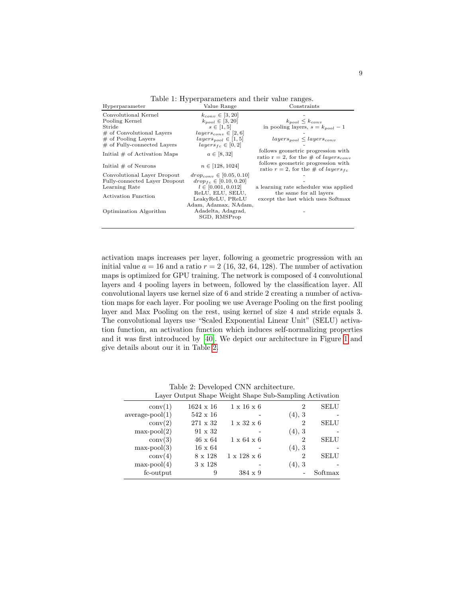<span id="page-8-0"></span>

| Hyperparameter                 | Value Range                    | Constraints                                                                            |
|--------------------------------|--------------------------------|----------------------------------------------------------------------------------------|
| Convolutional Kernel           | $k_{conv} \in [3, 20]$         |                                                                                        |
| Pooling Kernel                 | $k_{pool} \in [3, 20]$         | $k_{pool} \leq k_{conv}$                                                               |
| Stride                         | $s \in [1, 5]$                 | in pooling layers, $s = k_{pool} - 1$                                                  |
| $\#$ of Convolutional Layers   | $layers_{conv} \in [2, 6]$     |                                                                                        |
| $#$ of Pooling Layers          | $layers_{pool} \in [1, 5]$     | $layers_{pool} \leq layers_{conv}$                                                     |
| $\#$ of Fully-connected Layers | $layers_{fc} \in [0, 2]$       |                                                                                        |
| Initial $#$ of Activation Maps | $a \in [8, 32]$                | follows geometric progression with<br>ratio r = 2, for the # of layers <sub>conv</sub> |
| Initial $#$ of Neurons         | $n \in [128, 1024]$            | follows geometric progression with<br>ratio $r = 2$ , for the # of <i>layers</i> $f_c$ |
| Convolutional Layer Dropout    | $drop_{conv} \in [0.05, 0.10]$ |                                                                                        |
| Fully-connected Layer Dropout  | $drop_{fc} \in [0.10, 0.20]$   |                                                                                        |
| Learning Rate                  | $l \in [0.001, 0.012]$         | a learning rate scheduler was applied                                                  |
| <b>Activation Function</b>     | ReLU, ELU, SELU,               | the same for all layers                                                                |
|                                | LeakyReLU, PReLU               | except the last which uses Softmax                                                     |
|                                | Adam, Adamax, NAdam,           |                                                                                        |
| Optimization Algorithm         | Adadelta, Adagrad,             |                                                                                        |
|                                | SGD, RMSProp                   |                                                                                        |
|                                |                                |                                                                                        |

Table 1: Hyperparameters and their value ranges.

activation maps increases per layer, following a geometric progression with an initial value  $a = 16$  and a ratio  $r = 2$  (16, 32, 64, 128). The number of activation maps is optimized for GPU training. The network is composed of 4 convolutional layers and 4 pooling layers in between, followed by the classification layer. All convolutional layers use kernel size of 6 and stride 2 creating a number of activation maps for each layer. For pooling we use Average Pooling on the first pooling layer and Max Pooling on the rest, using kernel of size 4 and stride equals 3. The convolutional layers use "Scaled Exponential Linear Unit" (SELU) activation function, an activation function which induces self-normalizing properties and it was first introduced by [\[40\]](#page-17-18). We depict our architecture in Figure [1](#page-9-0) and give details about our it in Table [2.](#page-8-1)

<span id="page-8-1"></span>

|                   |                  |                         | Layer Output Shape Weight Shape Sub-Sampling Activation |             |
|-------------------|------------------|-------------------------|---------------------------------------------------------|-------------|
| conv(1)           | $1624 \times 16$ | $1 \times 16 \times 6$  | 2                                                       | SELU        |
| $average-pool(1)$ | $542 \times 16$  |                         | (4), 3                                                  |             |
| conv(2)           | 271 x 32         | $1 \times 32 \times 6$  | 2                                                       | SELU        |
| $max-pool(2)$     | $91 \times 32$   |                         | (4), 3                                                  |             |
| conv(3)           | $46 \times 64$   | $1 \times 64 \times 6$  | 2                                                       | <b>SELU</b> |
| $max-pool(3)$     | $16 \times 64$   |                         | (4), 3                                                  |             |
| conv(4)           | $8 \times 128$   | $1 \times 128 \times 6$ | $\overline{2}$                                          | SELU        |
| $max-pool(4)$     | $3 \times 128$   |                         | (4), 3                                                  |             |
| fc-output         | 9                | $384 \times 9$          |                                                         | Softmax     |

Table 2: Developed CNN architecture.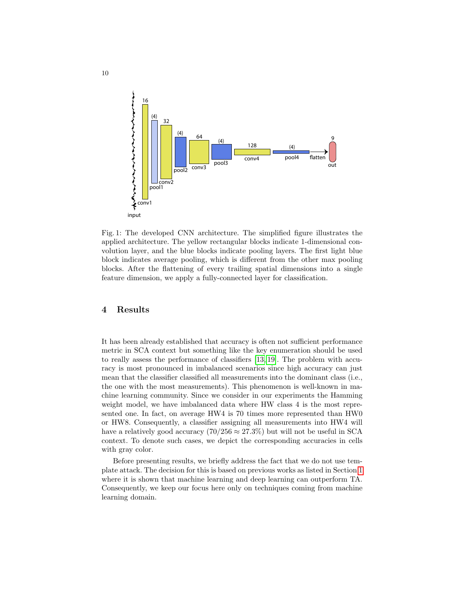<span id="page-9-0"></span>

Fig. 1: The developed CNN architecture. The simplified figure illustrates the applied architecture. The yellow rectangular blocks indicate 1-dimensional convolution layer, and the blue blocks indicate pooling layers. The first light blue block indicates average pooling, which is different from the other max pooling blocks. After the flattening of every trailing spatial dimensions into a single feature dimension, we apply a fully-connected layer for classification.

## 4 Results

It has been already established that accuracy is often not sufficient performance metric in SCA context but something like the key enumeration should be used to really assess the performance of classifiers [\[13,](#page-16-11) [19\]](#page-16-6). The problem with accuracy is most pronounced in imbalanced scenarios since high accuracy can just mean that the classifier classified all measurements into the dominant class (i.e., the one with the most measurements). This phenomenon is well-known in machine learning community. Since we consider in our experiments the Hamming weight model, we have imbalanced data where HW class 4 is the most represented one. In fact, on average HW4 is 70 times more represented than HW0 or HW8. Consequently, a classifier assigning all measurements into HW4 will have a relatively good accuracy  $(70/256 \approx 27.3\%)$  but will not be useful in SCA context. To denote such cases, we depict the corresponding accuracies in cells with gray color.

Before presenting results, we briefly address the fact that we do not use template attack. The decision for this is based on previous works as listed in Section [1](#page-0-0) where it is shown that machine learning and deep learning can outperform TA. Consequently, we keep our focus here only on techniques coming from machine learning domain.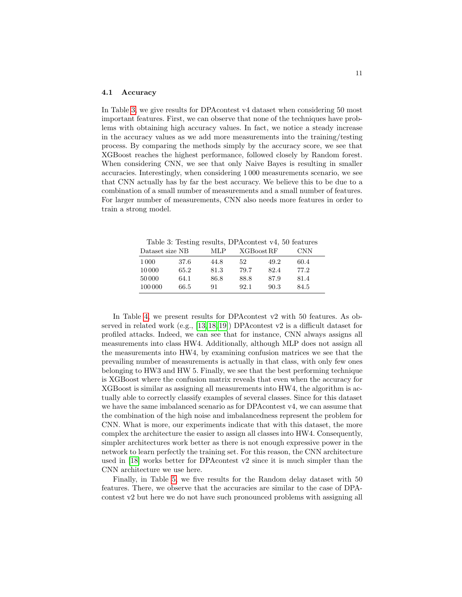#### 4.1 Accuracy

In Table [3,](#page-10-0) we give results for DPAcontest v4 dataset when considering 50 most important features. First, we can observe that none of the techniques have problems with obtaining high accuracy values. In fact, we notice a steady increase in the accuracy values as we add more measurements into the training/testing process. By comparing the methods simply by the accuracy score, we see that XGBoost reaches the highest performance, followed closely by Random forest. When considering CNN, we see that only Naive Bayes is resulting in smaller accuracies. Interestingly, when considering 1 000 measurements scenario, we see that CNN actually has by far the best accuracy. We believe this to be due to a combination of a small number of measurements and a small number of features. For larger number of measurements, CNN also needs more features in order to train a strong model.

<span id="page-10-0"></span>Table 3: Testing results, DPAcontest v4, 50 features

| Dataset size NB |      | MLP. | XGBoost RF |      | <b>CNN</b> |  |
|-----------------|------|------|------------|------|------------|--|
| 1 0 0 0         | 37.6 | 44.8 | 52         | 49.2 | 60.4       |  |
| 10 000          | 65.2 | 81.3 | 79.7       | 82.4 | 77.2       |  |
| 50 000          | 64.1 | 86.8 | 88.8       | 87.9 | 81.4       |  |
| 100 000         | 66.5 | 91   | 92.1       | 90.3 | 84.5       |  |

In Table [4,](#page-11-0) we present results for DPAcontest v2 with 50 features. As observed in related work (e.g., [\[13,](#page-16-11) [18,](#page-16-5) [19\]](#page-16-6)) DPAcontest v2 is a difficult dataset for profiled attacks. Indeed, we can see that for instance, CNN always assigns all measurements into class HW4. Additionally, although MLP does not assign all the measurements into HW4, by examining confusion matrices we see that the prevailing number of measurements is actually in that class, with only few ones belonging to HW3 and HW 5. Finally, we see that the best performing technique is XGBoost where the confusion matrix reveals that even when the accuracy for XGBoost is similar as assigning all measurements into HW4, the algorithm is actually able to correctly classify examples of several classes. Since for this dataset we have the same imbalanced scenario as for DPAcontest v4, we can assume that the combination of the high noise and imbalancedness represent the problem for CNN. What is more, our experiments indicate that with this dataset, the more complex the architecture the easier to assign all classes into HW4. Consequently, simpler architectures work better as there is not enough expressive power in the network to learn perfectly the training set. For this reason, the CNN architecture used in [\[18\]](#page-16-5) works better for DPAcontest v2 since it is much simpler than the CNN architecture we use here.

Finally, in Table [5,](#page-11-1) we five results for the Random delay dataset with 50 features. There, we observe that the accuracies are similar to the case of DPAcontest v2 but here we do not have such pronounced problems with assigning all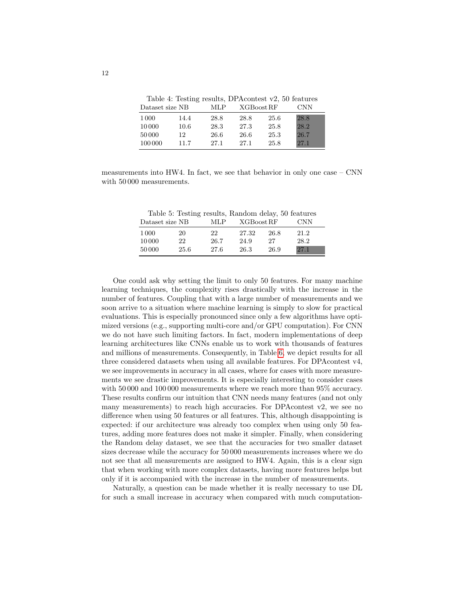|  |  | Table 4: Testing results, DPA contest v2, 50 features |  |
|--|--|-------------------------------------------------------|--|
|  |  |                                                       |  |

<span id="page-11-0"></span>

| Dataset size NB |      | MLP  | XGBoost RF |      | CNN  |
|-----------------|------|------|------------|------|------|
| 1 000           | 14.4 | 28.8 | 28.8       | 25.6 | 28.8 |
| 10 000          | 10.6 | 28.3 | 27.3       | 25.8 | 28.2 |
| 50 000          | 12   | 26.6 | 26.6       | 25.3 | 26.7 |
| 100 000         | 11.7 | 27.1 | 27.1       | 25.8 | 27.1 |

<span id="page-11-1"></span>measurements into HW4. In fact, we see that behavior in only one case – CNN with 50 000 measurements.

Table 5: Testing results, Random delay, 50 features

| Dataset size NB |      | MLP  | XGBoost RF |      | CNN  |
|-----------------|------|------|------------|------|------|
| 1 0 0 0         | 20   | 22   | 27.32      | 26.8 | 21.2 |
| 10 000          | 22   | 26.7 | 24.9       | 27   | 28.2 |
| 50 000          | 25.6 | 27.6 | 26.3       | 26.9 | 27.1 |

One could ask why setting the limit to only 50 features. For many machine learning techniques, the complexity rises drastically with the increase in the number of features. Coupling that with a large number of measurements and we soon arrive to a situation where machine learning is simply to slow for practical evaluations. This is especially pronounced since only a few algorithms have optimized versions (e.g., supporting multi-core and/or GPU computation). For CNN we do not have such limiting factors. In fact, modern implementations of deep learning architectures like CNNs enable us to work with thousands of features and millions of measurements. Consequently, in Table [6,](#page-12-0) we depict results for all three considered datasets when using all available features. For DPAcontest v4, we see improvements in accuracy in all cases, where for cases with more measurements we see drastic improvements. It is especially interesting to consider cases with 50 000 and 100 000 measurements where we reach more than 95% accuracy. These results confirm our intuition that CNN needs many features (and not only many measurements) to reach high accuracies. For DPAcontest v2, we see no difference when using 50 features or all features. This, although disappointing is expected: if our architecture was already too complex when using only 50 features, adding more features does not make it simpler. Finally, when considering the Random delay dataset, we see that the accuracies for two smaller dataset sizes decrease while the accuracy for 50 000 measurements increases where we do not see that all measurements are assigned to HW4. Again, this is a clear sign that when working with more complex datasets, having more features helps but only if it is accompanied with the increase in the number of measurements.

Naturally, a question can be made whether it is really necessary to use DL for such a small increase in accuracy when compared with much computation-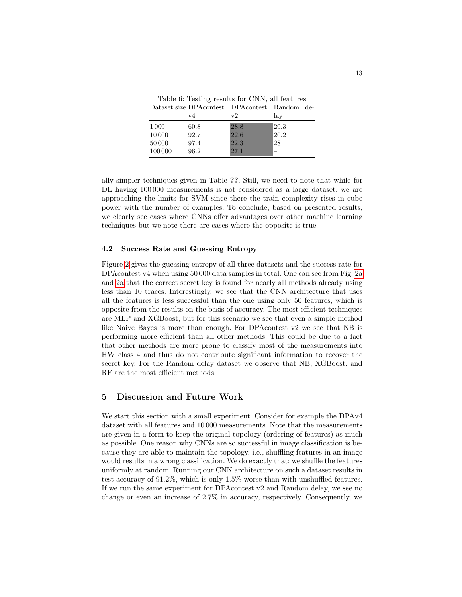<span id="page-12-0"></span>

| Table 6: Testing results for CNN, all features  |  |  |
|-------------------------------------------------|--|--|
| Dataset size DPA contest DPA contest Random de- |  |  |

|         | v4   | v2   | lay  |  |
|---------|------|------|------|--|
| 1 0 0 0 | 60.8 | 28.8 | 20.3 |  |
| 10 000  | 92.7 | 22.6 | 20.2 |  |
| 50 000  | 97.4 | 22.3 | 28   |  |
| 100 000 | 96.2 | 27.1 |      |  |

ally simpler techniques given in Table ??. Still, we need to note that while for DL having 100 000 measurements is not considered as a large dataset, we are approaching the limits for SVM since there the train complexity rises in cube power with the number of examples. To conclude, based on presented results, we clearly see cases where CNNs offer advantages over other machine learning techniques but we note there are cases where the opposite is true.

## 4.2 Success Rate and Guessing Entropy

Figure [2](#page-13-0) gives the guessing entropy of all three datasets and the success rate for DPAcontest v4 when using 50 000 data samples in total. One can see from Fig. [2a](#page-13-0) and [2a](#page-13-0) that the correct secret key is found for nearly all methods already using less than 10 traces. Interestingly, we see that the CNN architecture that uses all the features is less successful than the one using only 50 features, which is opposite from the results on the basis of accuracy. The most efficient techniques are MLP and XGBoost, but for this scenario we see that even a simple method like Naive Bayes is more than enough. For DPAcontest v2 we see that NB is performing more efficient than all other methods. This could be due to a fact that other methods are more prone to classify most of the measurements into HW class 4 and thus do not contribute significant information to recover the secret key. For the Random delay dataset we observe that NB, XGBoost, and RF are the most efficient methods.

## 5 Discussion and Future Work

We start this section with a small experiment. Consider for example the DPAv4 dataset with all features and 10 000 measurements. Note that the measurements are given in a form to keep the original topology (ordering of features) as much as possible. One reason why CNNs are so successful in image classification is because they are able to maintain the topology, i.e., shuffling features in an image would results in a wrong classification. We do exactly that: we shuffle the features uniformly at random. Running our CNN architecture on such a dataset results in test accuracy of 91.2%, which is only 1.5% worse than with unshuffled features. If we run the same experiment for DPAcontest v2 and Random delay, we see no change or even an increase of 2.7% in accuracy, respectively. Consequently, we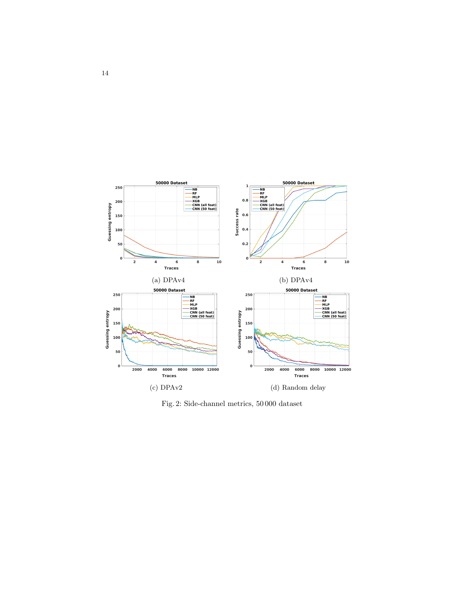<span id="page-13-0"></span>

Fig. 2: Side-channel metrics, 50 000 dataset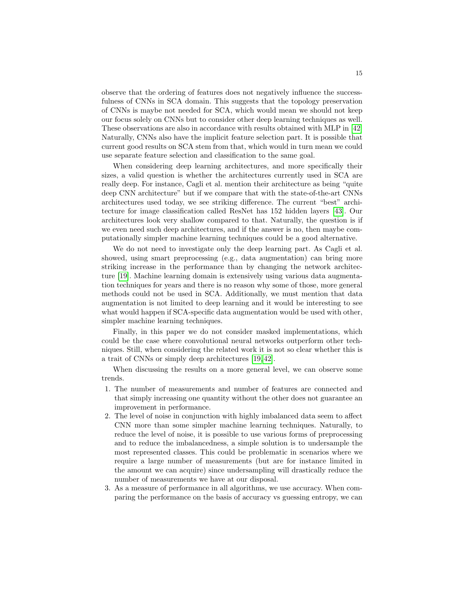observe that the ordering of features does not negatively influence the successfulness of CNNs in SCA domain. This suggests that the topology preservation of CNNs is maybe not needed for SCA, which would mean we should not keep our focus solely on CNNs but to consider other deep learning techniques as well. These observations are also in accordance with results obtained with MLP in [\[42\]](#page-18-0) Naturally, CNNs also have the implicit feature selection part. It is possible that current good results on SCA stem from that, which would in turn mean we could use separate feature selection and classification to the same goal.

When considering deep learning architectures, and more specifically their sizes, a valid question is whether the architectures currently used in SCA are really deep. For instance, Cagli et al. mention their architecture as being "quite deep CNN architecture" but if we compare that with the state-of-the-art CNNs architectures used today, we see striking difference. The current "best" architecture for image classification called ResNet has 152 hidden layers [\[43\]](#page-18-1). Our architectures look very shallow compared to that. Naturally, the question is if we even need such deep architectures, and if the answer is no, then maybe computationally simpler machine learning techniques could be a good alternative.

We do not need to investigate only the deep learning part. As Cagli et al. showed, using smart preprocessing (e.g., data augmentation) can bring more striking increase in the performance than by changing the network architecture [\[19\]](#page-16-6). Machine learning domain is extensively using various data augmentation techniques for years and there is no reason why some of those, more general methods could not be used in SCA. Additionally, we must mention that data augmentation is not limited to deep learning and it would be interesting to see what would happen if SCA-specific data augmentation would be used with other, simpler machine learning techniques.

Finally, in this paper we do not consider masked implementations, which could be the case where convolutional neural networks outperform other techniques. Still, when considering the related work it is not so clear whether this is a trait of CNNs or simply deep architectures [\[19,](#page-16-6) [42\]](#page-18-0).

When discussing the results on a more general level, we can observe some trends.

- 1. The number of measurements and number of features are connected and that simply increasing one quantity without the other does not guarantee an improvement in performance.
- 2. The level of noise in conjunction with highly imbalanced data seem to affect CNN more than some simpler machine learning techniques. Naturally, to reduce the level of noise, it is possible to use various forms of preprocessing and to reduce the imbalancedness, a simple solution is to undersample the most represented classes. This could be problematic in scenarios where we require a large number of measurements (but are for instance limited in the amount we can acquire) since undersampling will drastically reduce the number of measurements we have at our disposal.
- 3. As a measure of performance in all algorithms, we use accuracy. When comparing the performance on the basis of accuracy vs guessing entropy, we can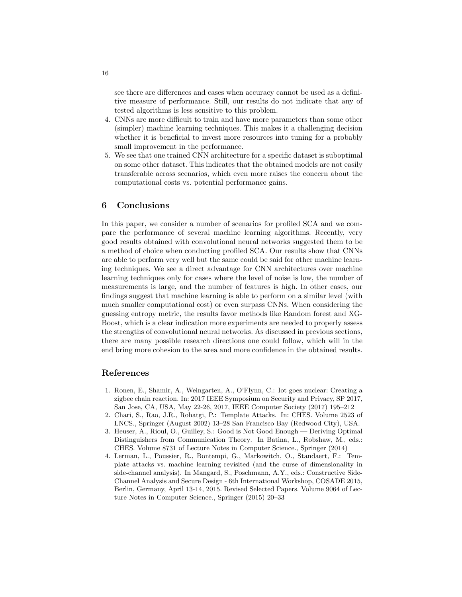see there are differences and cases when accuracy cannot be used as a definitive measure of performance. Still, our results do not indicate that any of tested algorithms is less sensitive to this problem.

- 4. CNNs are more difficult to train and have more parameters than some other (simpler) machine learning techniques. This makes it a challenging decision whether it is beneficial to invest more resources into tuning for a probably small improvement in the performance.
- 5. We see that one trained CNN architecture for a specific dataset is suboptimal on some other dataset. This indicates that the obtained models are not easily transferable across scenarios, which even more raises the concern about the computational costs vs. potential performance gains.

# 6 Conclusions

In this paper, we consider a number of scenarios for profiled SCA and we compare the performance of several machine learning algorithms. Recently, very good results obtained with convolutional neural networks suggested them to be a method of choice when conducting profiled SCA. Our results show that CNNs are able to perform very well but the same could be said for other machine learning techniques. We see a direct advantage for CNN architectures over machine learning techniques only for cases where the level of noise is low, the number of measurements is large, and the number of features is high. In other cases, our findings suggest that machine learning is able to perform on a similar level (with much smaller computational cost) or even surpass CNNs. When considering the guessing entropy metric, the results favor methods like Random forest and XG-Boost, which is a clear indication more experiments are needed to properly assess the strengths of convolutional neural networks. As discussed in previous sections, there are many possible research directions one could follow, which will in the end bring more cohesion to the area and more confidence in the obtained results.

## References

- <span id="page-15-0"></span>1. Ronen, E., Shamir, A., Weingarten, A., O'Flynn, C.: Iot goes nuclear: Creating a zigbee chain reaction. In: 2017 IEEE Symposium on Security and Privacy, SP 2017, San Jose, CA, USA, May 22-26, 2017, IEEE Computer Society (2017) 195–212
- <span id="page-15-1"></span>2. Chari, S., Rao, J.R., Rohatgi, P.: Template Attacks. In: CHES. Volume 2523 of LNCS., Springer (August 2002) 13–28 San Francisco Bay (Redwood City), USA.
- <span id="page-15-2"></span>3. Heuser, A., Rioul, O., Guilley, S.: Good is Not Good Enough — Deriving Optimal Distinguishers from Communication Theory. In Batina, L., Robshaw, M., eds.: CHES. Volume 8731 of Lecture Notes in Computer Science., Springer (2014)
- <span id="page-15-3"></span>4. Lerman, L., Poussier, R., Bontempi, G., Markowitch, O., Standaert, F.: Template attacks vs. machine learning revisited (and the curse of dimensionality in side-channel analysis). In Mangard, S., Poschmann, A.Y., eds.: Constructive Side-Channel Analysis and Secure Design - 6th International Workshop, COSADE 2015, Berlin, Germany, April 13-14, 2015. Revised Selected Papers. Volume 9064 of Lecture Notes in Computer Science., Springer (2015) 20–33

16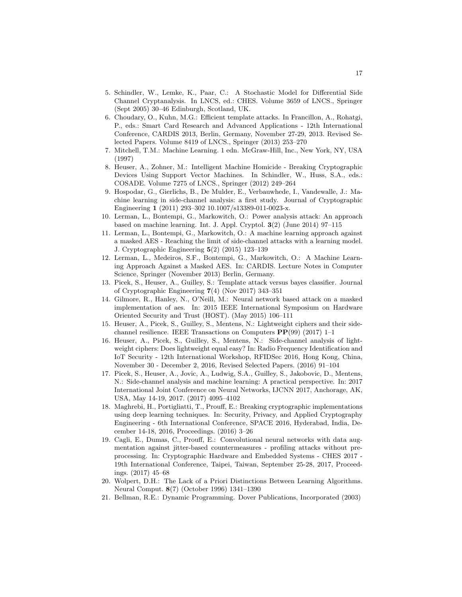- <span id="page-16-0"></span>5. Schindler, W., Lemke, K., Paar, C.: A Stochastic Model for Differential Side Channel Cryptanalysis. In LNCS, ed.: CHES. Volume 3659 of LNCS., Springer (Sept 2005) 30–46 Edinburgh, Scotland, UK.
- <span id="page-16-1"></span>6. Choudary, O., Kuhn, M.G.: Efficient template attacks. In Francillon, A., Rohatgi, P., eds.: Smart Card Research and Advanced Applications - 12th International Conference, CARDIS 2013, Berlin, Germany, November 27-29, 2013. Revised Selected Papers. Volume 8419 of LNCS., Springer (2013) 253–270
- <span id="page-16-2"></span>7. Mitchell, T.M.: Machine Learning. 1 edn. McGraw-Hill, Inc., New York, NY, USA (1997)
- <span id="page-16-3"></span>8. Heuser, A., Zohner, M.: Intelligent Machine Homicide - Breaking Cryptographic Devices Using Support Vector Machines. In Schindler, W., Huss, S.A., eds.: COSADE. Volume 7275 of LNCS., Springer (2012) 249–264
- 9. Hospodar, G., Gierlichs, B., De Mulder, E., Verbauwhede, I., Vandewalle, J.: Machine learning in side-channel analysis: a first study. Journal of Cryptographic Engineering 1 (2011) 293–302 10.1007/s13389-011-0023-x.
- 10. Lerman, L., Bontempi, G., Markowitch, O.: Power analysis attack: An approach based on machine learning. Int. J. Appl. Cryptol. 3(2) (June 2014) 97–115
- 11. Lerman, L., Bontempi, G., Markowitch, O.: A machine learning approach against a masked AES - Reaching the limit of side-channel attacks with a learning model. J. Cryptographic Engineering 5(2) (2015) 123–139
- <span id="page-16-9"></span>12. Lerman, L., Medeiros, S.F., Bontempi, G., Markowitch, O.: A Machine Learning Approach Against a Masked AES. In: CARDIS. Lecture Notes in Computer Science, Springer (November 2013) Berlin, Germany.
- <span id="page-16-11"></span>13. Picek, S., Heuser, A., Guilley, S.: Template attack versus bayes classifier. Journal of Cryptographic Engineering 7(4) (Nov 2017) 343–351
- <span id="page-16-10"></span>14. Gilmore, R., Hanley, N., O'Neill, M.: Neural network based attack on a masked implementation of aes. In: 2015 IEEE International Symposium on Hardware Oriented Security and Trust (HOST). (May 2015) 106–111
- 15. Heuser, A., Picek, S., Guilley, S., Mentens, N.: Lightweight ciphers and their sidechannel resilience. IEEE Transactions on Computers  $\mathbf{PP}(99)$  (2017) 1–1
- 16. Heuser, A., Picek, S., Guilley, S., Mentens, N.: Side-channel analysis of lightweight ciphers: Does lightweight equal easy? In: Radio Frequency Identification and IoT Security - 12th International Workshop, RFIDSec 2016, Hong Kong, China, November 30 - December 2, 2016, Revised Selected Papers. (2016) 91–104
- <span id="page-16-4"></span>17. Picek, S., Heuser, A., Jovic, A., Ludwig, S.A., Guilley, S., Jakobovic, D., Mentens, N.: Side-channel analysis and machine learning: A practical perspective. In: 2017 International Joint Conference on Neural Networks, IJCNN 2017, Anchorage, AK, USA, May 14-19, 2017. (2017) 4095–4102
- <span id="page-16-5"></span>18. Maghrebi, H., Portigliatti, T., Prouff, E.: Breaking cryptographic implementations using deep learning techniques. In: Security, Privacy, and Applied Cryptography Engineering - 6th International Conference, SPACE 2016, Hyderabad, India, December 14-18, 2016, Proceedings. (2016) 3–26
- <span id="page-16-6"></span>19. Cagli, E., Dumas, C., Prouff, E.: Convolutional neural networks with data augmentation against jitter-based countermeasures - profiling attacks without preprocessing. In: Cryptographic Hardware and Embedded Systems - CHES 2017 - 19th International Conference, Taipei, Taiwan, September 25-28, 2017, Proceedings. (2017) 45–68
- <span id="page-16-7"></span>20. Wolpert, D.H.: The Lack of a Priori Distinctions Between Learning Algorithms. Neural Comput. 8(7) (October 1996) 1341–1390
- <span id="page-16-8"></span>21. Bellman, R.E.: Dynamic Programming. Dover Publications, Incorporated (2003)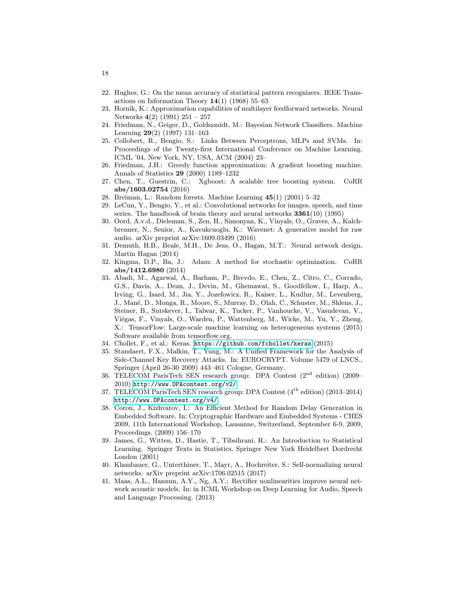- <span id="page-17-0"></span>22. Hughes, G.: On the mean accuracy of statistical pattern recognizers. IEEE Transactions on Information Theory  $14(1)$  (1968) 55–63
- <span id="page-17-1"></span>23. Hornik, K.: Approximation capabilities of multilayer feedforward networks. Neural Networks 4(2) (1991) 251 – 257
- <span id="page-17-2"></span>24. Friedman, N., Geiger, D., Goldszmidt, M.: Bayesian Network Classifiers. Machine Learning 29(2) (1997) 131–163
- <span id="page-17-3"></span>25. Collobert, R., Bengio, S.: Links Between Perceptrons, MLPs and SVMs. In: Proceedings of the Twenty-first International Conference on Machine Learning. ICML '04, New York, NY, USA, ACM (2004) 23–
- <span id="page-17-4"></span>26. Friedman, J.H.: Greedy function approximation: A gradient boosting machine. Annals of Statistics 29 (2000) 1189–1232
- <span id="page-17-5"></span>27. Chen, T., Guestrin, C.: Xgboost: A scalable tree boosting system. CoRR abs/1603.02754 (2016)
- <span id="page-17-6"></span>28. Breiman, L.: Random forests. Machine Learning 45(1) (2001) 5–32
- <span id="page-17-7"></span>29. LeCun, Y., Bengio, Y., et al.: Convolutional networks for images, speech, and time series. The handbook of brain theory and neural networks  $3361(10)$  (1995)
- <span id="page-17-8"></span>30. Oord, A.v.d., Dieleman, S., Zen, H., Simonyan, K., Vinyals, O., Graves, A., Kalchbrenner, N., Senior, A., Kavukcuoglu, K.: Wavenet: A generative model for raw audio. arXiv preprint arXiv:1609.03499 (2016)
- <span id="page-17-9"></span>31. Demuth, H.B., Beale, M.H., De Jess, O., Hagan, M.T.: Neural network design. Martin Hagan (2014)
- <span id="page-17-10"></span>32. Kingma, D.P., Ba, J.: Adam: A method for stochastic optimization. CoRR abs/1412.6980 (2014)
- <span id="page-17-11"></span>33. Abadi, M., Agarwal, A., Barham, P., Brevdo, E., Chen, Z., Citro, C., Corrado, G.S., Davis, A., Dean, J., Devin, M., Ghemawat, S., Goodfellow, I., Harp, A., Irving, G., Isard, M., Jia, Y., Jozefowicz, R., Kaiser, L., Kudlur, M., Levenberg, J., Man´e, D., Monga, R., Moore, S., Murray, D., Olah, C., Schuster, M., Shlens, J., Steiner, B., Sutskever, I., Talwar, K., Tucker, P., Vanhoucke, V., Vasudevan, V., Viégas, F., Vinyals, O., Warden, P., Wattenberg, M., Wicke, M., Yu, Y., Zheng, X.: TensorFlow: Large-scale machine learning on heterogeneous systems (2015) Software available from tensorflow.org.
- <span id="page-17-12"></span>34. Chollet, F., et al.: Keras. <https://github.com/fchollet/keras> (2015)
- <span id="page-17-13"></span>35. Standaert, F.X., Malkin, T., Yung, M.: A Unified Framework for the Analysis of Side-Channel Key Recovery Attacks. In: EUROCRYPT. Volume 5479 of LNCS., Springer (April 26-30 2009) 443–461 Cologne, Germany.
- <span id="page-17-14"></span>36. TELECOM ParisTech SEN research group: DPA Contest (2nd edition) (2009– 2010) <http://www.DPAcontest.org/v2/>.
- <span id="page-17-15"></span>37. TELECOM ParisTech SEN research group: DPA Contest (4th edition) (2013–2014) <http://www.DPAcontest.org/v4/>.
- <span id="page-17-16"></span>38. Coron, J., Kizhvatov, I.: An Efficient Method for Random Delay Generation in Embedded Software. In: Cryptographic Hardware and Embedded Systems - CHES 2009, 11th International Workshop, Lausanne, Switzerland, September 6-9, 2009, Proceedings. (2009) 156–170
- <span id="page-17-17"></span>39. James, G., Witten, D., Hastie, T., Tibsihrani, R.: An Introduction to Statistical Learning. Springer Texts in Statistics. Springer New York Heidelbert Dordrecht London (2001)
- <span id="page-17-18"></span>40. Klambauer, G., Unterthiner, T., Mayr, A., Hochreiter, S.: Self-normalizing neural networks. arXiv preprint arXiv:1706.02515 (2017)
- 41. Maas, A.L., Hannun, A.Y., Ng, A.Y.: Rectifier nonlinearities improve neural network acoustic models. In: in ICML Workshop on Deep Learning for Audio, Speech and Language Processing. (2013)

18